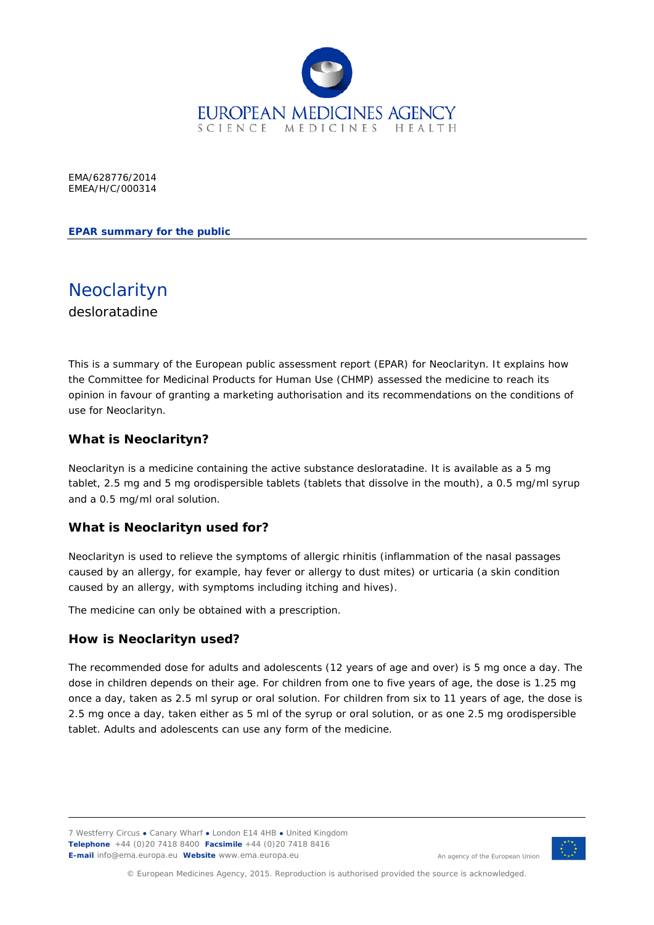

EMA/628776/2014 EMEA/H/C/000314

**EPAR summary for the public**

Neoclarityn desloratadine

This is a summary of the European public assessment report (EPAR) for Neoclarityn. It explains how the Committee for Medicinal Products for Human Use (CHMP) assessed the medicine to reach its opinion in favour of granting a marketing authorisation and its recommendations on the conditions of use for Neoclarityn.

# **What is Neoclarityn?**

Neoclarityn is a medicine containing the active substance desloratadine. It is available as a 5 mg tablet, 2.5 mg and 5 mg orodispersible tablets (tablets that dissolve in the mouth), a 0.5 mg/ml syrup and a 0.5 mg/ml oral solution.

## **What is Neoclarityn used for?**

Neoclarityn is used to relieve the symptoms of allergic rhinitis (inflammation of the nasal passages caused by an allergy, for example, hay fever or allergy to dust mites) or urticaria (a skin condition caused by an allergy, with symptoms including itching and hives).

The medicine can only be obtained with a prescription.

## **How is Neoclarityn used?**

The recommended dose for adults and adolescents (12 years of age and over) is 5 mg once a day. The dose in children depends on their age. For children from one to five years of age, the dose is 1.25 mg once a day, taken as 2.5 ml syrup or oral solution. For children from six to 11 years of age, the dose is 2.5 mg once a day, taken either as 5 ml of the syrup or oral solution, or as one 2.5 mg orodispersible tablet. Adults and adolescents can use any form of the medicine.

7 Westferry Circus **●** Canary Wharf **●** London E14 4HB **●** United Kingdom **Telephone** +44 (0)20 7418 8400 **Facsimile** +44 (0)20 7418 8416 **E-mail** info@ema.europa.eu **Website** www.ema.europa.eu



An agency of the European Union

© European Medicines Agency, 2015. Reproduction is authorised provided the source is acknowledged.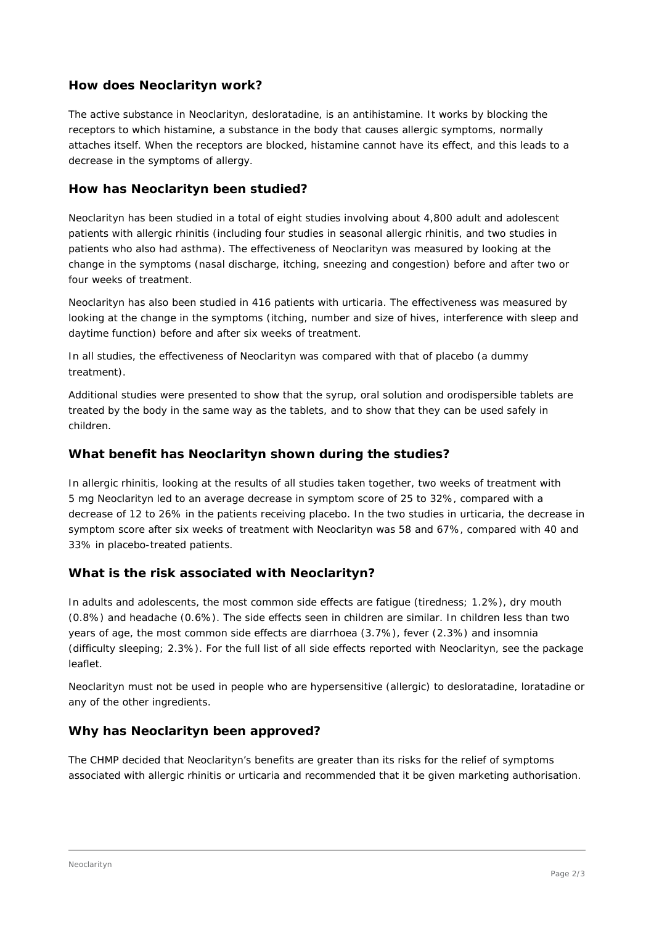# **How does Neoclarityn work?**

The active substance in Neoclarityn, desloratadine, is an antihistamine. It works by blocking the receptors to which histamine, a substance in the body that causes allergic symptoms, normally attaches itself. When the receptors are blocked, histamine cannot have its effect, and this leads to a decrease in the symptoms of allergy.

## **How has Neoclarityn been studied?**

Neoclarityn has been studied in a total of eight studies involving about 4,800 adult and adolescent patients with allergic rhinitis (including four studies in seasonal allergic rhinitis, and two studies in patients who also had asthma). The effectiveness of Neoclarityn was measured by looking at the change in the symptoms (nasal discharge, itching, sneezing and congestion) before and after two or four weeks of treatment.

Neoclarityn has also been studied in 416 patients with urticaria. The effectiveness was measured by looking at the change in the symptoms (itching, number and size of hives, interference with sleep and daytime function) before and after six weeks of treatment.

In all studies, the effectiveness of Neoclarityn was compared with that of placebo (a dummy treatment).

Additional studies were presented to show that the syrup, oral solution and orodispersible tablets are treated by the body in the same way as the tablets, and to show that they can be used safely in children.

## **What benefit has Neoclarityn shown during the studies?**

In allergic rhinitis, looking at the results of all studies taken together, two weeks of treatment with 5 mg Neoclarityn led to an average decrease in symptom score of 25 to 32%, compared with a decrease of 12 to 26% in the patients receiving placebo. In the two studies in urticaria, the decrease in symptom score after six weeks of treatment with Neoclarityn was 58 and 67%, compared with 40 and 33% in placebo-treated patients.

## **What is the risk associated with Neoclarityn?**

In adults and adolescents, the most common side effects are fatigue (tiredness; 1.2%), dry mouth (0.8%) and headache (0.6%). The side effects seen in children are similar. In children less than two years of age, the most common side effects are diarrhoea (3.7%), fever (2.3%) and insomnia (difficulty sleeping; 2.3%). For the full list of all side effects reported with Neoclarityn, see the package leaflet.

Neoclarityn must not be used in people who are hypersensitive (allergic) to desloratadine, loratadine or any of the other ingredients.

## **Why has Neoclarityn been approved?**

The CHMP decided that Neoclarityn's benefits are greater than its risks for the relief of symptoms associated with allergic rhinitis or urticaria and recommended that it be given marketing authorisation.